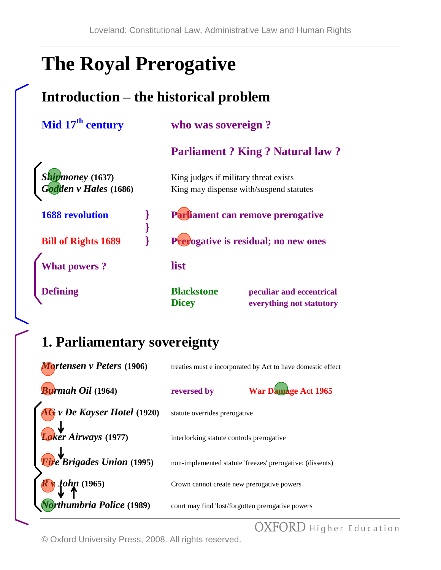# **The Royal Prerogative**

### **Introduction – the historical problem**

| Mid 17 <sup>th</sup> century | who was sovereign?                            |  |
|------------------------------|-----------------------------------------------|--|
|                              | <b>Parliament ? King ? Natural law ?</b>      |  |
| Shipmoney (1637)             | King judges if military threat exists         |  |
| Godden v Hales (1686)        | King may dispense with/suspend statutes       |  |
| <b>1688</b> revolution       | Parliament can remove prerogative             |  |
|                              |                                               |  |
| <b>Bill of Rights 1689</b>   | Prepogative is residual; no new ones          |  |
| <b>What powers?</b>          | list                                          |  |
| <b>Defining</b>              | <b>Blackstone</b><br>peculiar and eccentrical |  |
|                              | <b>Dicey</b><br>everything not statutory      |  |

### **1. Parliamentary sovereignty**

| Mortensen v Peters (1906)              |                                                   | treaties must e incorporated by Act to have domestic effect |
|----------------------------------------|---------------------------------------------------|-------------------------------------------------------------|
| <b>Burmah Oil</b> (1964)               | reversed by                                       | War Damage Act 1965                                         |
| <b>AG</b> v De Kayser Hotel (1920)     | statute overrides prerogative                     |                                                             |
| Laker Airways (1977)                   | interlocking statute controls prerogative         |                                                             |
| $\mathbf{F}$ ire Brigades Union (1995) |                                                   | non-implemented statute 'freezes' prerogative: (dissents)   |
| R 10hp (1965)                          | Crown cannot create new prerogative powers        |                                                             |
| Torthumbria Police (1989)              | court may find 'lost/forgotten prerogative powers |                                                             |

OXFORD Higher Education

© Oxford University Press, 2008. All rights reserved.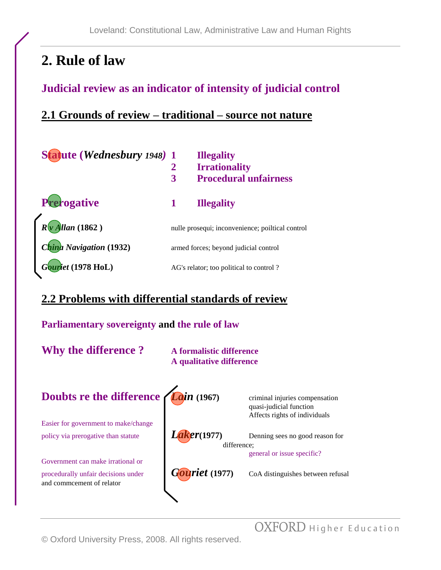### **2. Rule of law**

### **Judicial review as an indicator of intensity of judicial control**

#### **2.1 Grounds of review – traditional – source not nature**

| Statute (Wednesbury 1948) 1 |                                       | <b>Illegality</b>                                |
|-----------------------------|---------------------------------------|--------------------------------------------------|
|                             | 2                                     | <b>Irrationality</b>                             |
|                             | 3                                     | <b>Procedural unfairness</b>                     |
| Prerogative                 |                                       | <b>Illegality</b>                                |
| $R\sqrt{\nu}$ Allan (1862)  |                                       | nulle prosequi; inconvenience; poiltical control |
| China Navigation (1932)     | armed forces; beyond judicial control |                                                  |
| Gouriet (1978 HoL)          |                                       | AG's relator; too political to control?          |

#### **2.2 Problems with differential standards of review**



OXFORD Higher Education

© Oxford University Press, 2008. All rights reserved.